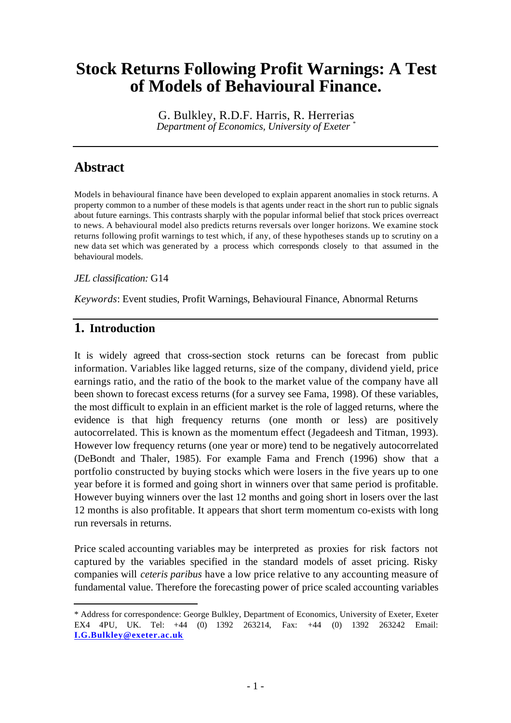# **Stock Returns Following Profit Warnings: A Test of Models of Behavioural Finance.**

G. Bulkley, R.D.F. Harris, R. Herrerias *Department of Economics, University of Exeter \**

# **Abstract**

Models in behavioural finance have been developed to explain apparent anomalies in stock returns. A property common to a number of these models is that agents under react in the short run to public signals about future earnings. This contrasts sharply with the popular informal belief that stock prices overreact to news. A behavioural model also predicts returns reversals over longer horizons. We examine stock returns following profit warnings to test which, if any, of these hypotheses stands up to scrutiny on a new data set which was generated by a process which corresponds closely to that assumed in the behavioural models.

#### *JEL classification:* G14

*Keywords*: Event studies, Profit Warnings, Behavioural Finance, Abnormal Returns

# **1. Introduction**

l

It is widely agreed that cross-section stock returns can be forecast from public information. Variables like lagged returns, size of the company, dividend yield, price earnings ratio, and the ratio of the book to the market value of the company have all been shown to forecast excess returns (for a survey see Fama, 1998). Of these variables, the most difficult to explain in an efficient market is the role of lagged returns, where the evidence is that high frequency returns (one month or less) are positively autocorrelated. This is known as the momentum effect (Jegadeesh and Titman, 1993). However low frequency returns (one year or more) tend to be negatively autocorrelated (DeBondt and Thaler, 1985). For example Fama and French (1996) show that a portfolio constructed by buying stocks which were losers in the five years up to one year before it is formed and going short in winners over that same period is profitable. However buying winners over the last 12 months and going short in losers over the last 12 months is also profitable. It appears that short term momentum co-exists with long run reversals in returns.

Price scaled accounting variables may be interpreted as proxies for risk factors not captured by the variables specified in the standard models of asset pricing. Risky companies will *ceteris paribus* have a low price relative to any accounting measure of fundamental value. Therefore the forecasting power of price scaled accounting variables

<sup>\*</sup> Address for correspondence: George Bulkley, Department of Economics, University of Exeter, Exeter EX4 4PU, UK. Tel: +44 (0) 1392 263214, Fax: +44 (0) 1392 263242 Email: **I.G.Bulkley@exeter.ac.uk**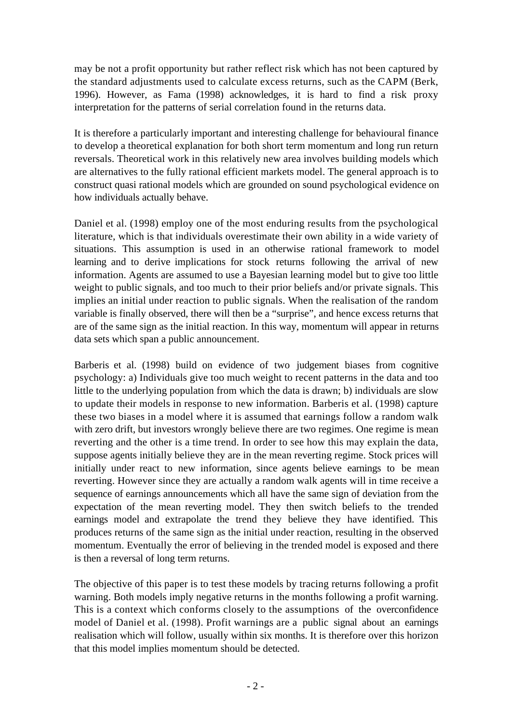may be not a profit opportunity but rather reflect risk which has not been captured by the standard adjustments used to calculate excess returns, such as the CAPM (Berk, 1996). However, as Fama (1998) acknowledges, it is hard to find a risk proxy interpretation for the patterns of serial correlation found in the returns data.

It is therefore a particularly important and interesting challenge for behavioural finance to develop a theoretical explanation for both short term momentum and long run return reversals. Theoretical work in this relatively new area involves building models which are alternatives to the fully rational efficient markets model. The general approach is to construct quasi rational models which are grounded on sound psychological evidence on how individuals actually behave.

Daniel et al. (1998) employ one of the most enduring results from the psychological literature, which is that individuals overestimate their own ability in a wide variety of situations. This assumption is used in an otherwise rational framework to model learning and to derive implications for stock returns following the arrival of new information. Agents are assumed to use a Bayesian learning model but to give too little weight to public signals, and too much to their prior beliefs and/or private signals. This implies an initial under reaction to public signals. When the realisation of the random variable is finally observed, there will then be a "surprise", and hence excess returns that are of the same sign as the initial reaction. In this way, momentum will appear in returns data sets which span a public announcement.

Barberis et al. (1998) build on evidence of two judgement biases from cognitive psychology: a) Individuals give too much weight to recent patterns in the data and too little to the underlying population from which the data is drawn; b) individuals are slow to update their models in response to new information. Barberis et al. (1998) capture these two biases in a model where it is assumed that earnings follow a random walk with zero drift, but investors wrongly believe there are two regimes. One regime is mean reverting and the other is a time trend. In order to see how this may explain the data, suppose agents initially believe they are in the mean reverting regime. Stock prices will initially under react to new information, since agents believe earnings to be mean reverting. However since they are actually a random walk agents will in time receive a sequence of earnings announcements which all have the same sign of deviation from the expectation of the mean reverting model. They then switch beliefs to the trended earnings model and extrapolate the trend they believe they have identified. This produces returns of the same sign as the initial under reaction, resulting in the observed momentum. Eventually the error of believing in the trended model is exposed and there is then a reversal of long term returns.

The objective of this paper is to test these models by tracing returns following a profit warning. Both models imply negative returns in the months following a profit warning. This is a context which conforms closely to the assumptions of the overconfidence model of Daniel et al. (1998). Profit warnings are a public signal about an earnings realisation which will follow, usually within six months. It is therefore over this horizon that this model implies momentum should be detected.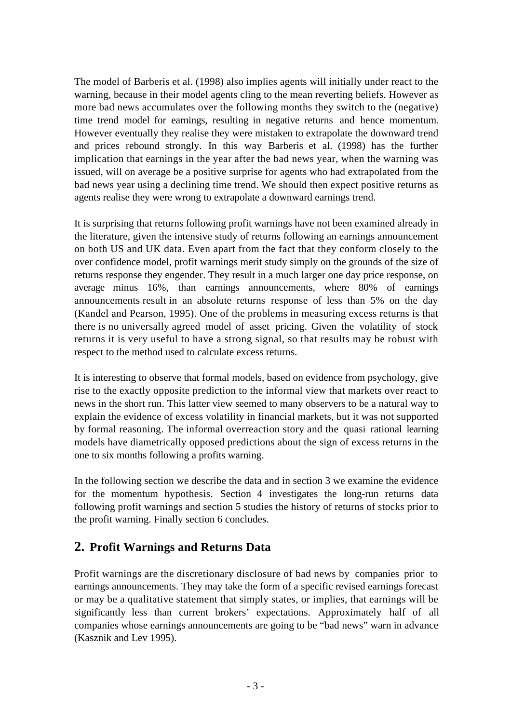The model of Barberis et al. (1998) also implies agents will initially under react to the warning, because in their model agents cling to the mean reverting beliefs. However as more bad news accumulates over the following months they switch to the (negative) time trend model for earnings, resulting in negative returns and hence momentum. However eventually they realise they were mistaken to extrapolate the downward trend and prices rebound strongly. In this way Barberis et al. (1998) has the further implication that earnings in the year after the bad news year, when the warning was issued, will on average be a positive surprise for agents who had extrapolated from the bad news year using a declining time trend. We should then expect positive returns as agents realise they were wrong to extrapolate a downward earnings trend.

It is surprising that returns following profit warnings have not been examined already in the literature, given the intensive study of returns following an earnings announcement on both US and UK data. Even apart from the fact that they conform closely to the over confidence model, profit warnings merit study simply on the grounds of the size of returns response they engender. They result in a much larger one day price response, on average minus 16%, than earnings announcements, where 80% of earnings announcements result in an absolute returns response of less than 5% on the day (Kandel and Pearson, 1995). One of the problems in measuring excess returns is that there is no universally agreed model of asset pricing. Given the volatility of stock returns it is very useful to have a strong signal, so that results may be robust with respect to the method used to calculate excess returns.

It is interesting to observe that formal models, based on evidence from psychology, give rise to the exactly opposite prediction to the informal view that markets over react to news in the short run. This latter view seemed to many observers to be a natural way to explain the evidence of excess volatility in financial markets, but it was not supported by formal reasoning. The informal overreaction story and the quasi rational learning models have diametrically opposed predictions about the sign of excess returns in the one to six months following a profits warning.

In the following section we describe the data and in section 3 we examine the evidence for the momentum hypothesis. Section 4 investigates the long-run returns data following profit warnings and section 5 studies the history of returns of stocks prior to the profit warning. Finally section 6 concludes.

# **2. Profit Warnings and Returns Data**

Profit warnings are the discretionary disclosure of bad news by companies prior to earnings announcements. They may take the form of a specific revised earnings forecast or may be a qualitative statement that simply states, or implies, that earnings will be significantly less than current brokers' expectations. Approximately half of all companies whose earnings announcements are going to be "bad news" warn in advance (Kasznik and Lev 1995).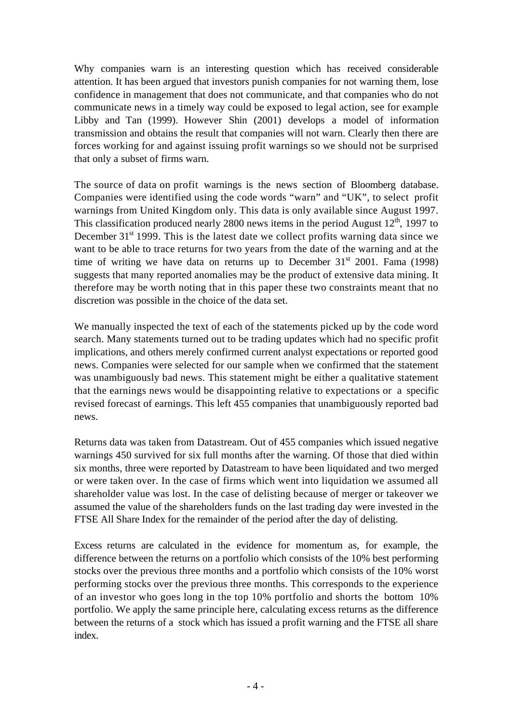Why companies warn is an interesting question which has received considerable attention. It has been argued that investors punish companies for not warning them, lose confidence in management that does not communicate, and that companies who do not communicate news in a timely way could be exposed to legal action, see for example Libby and Tan (1999). However Shin (2001) develops a model of information transmission and obtains the result that companies will not warn. Clearly then there are forces working for and against issuing profit warnings so we should not be surprised that only a subset of firms warn.

The source of data on profit warnings is the news section of Bloomberg database. Companies were identified using the code words "warn" and "UK", to select profit warnings from United Kingdom only. This data is only available since August 1997. This classification produced nearly 2800 news items in the period August  $12<sup>th</sup>$ , 1997 to December 31<sup>st</sup> 1999. This is the latest date we collect profits warning data since we want to be able to trace returns for two years from the date of the warning and at the time of writing we have data on returns up to December  $31<sup>st</sup>$  2001. Fama (1998) suggests that many reported anomalies may be the product of extensive data mining. It therefore may be worth noting that in this paper these two constraints meant that no discretion was possible in the choice of the data set.

We manually inspected the text of each of the statements picked up by the code word search. Many statements turned out to be trading updates which had no specific profit implications, and others merely confirmed current analyst expectations or reported good news. Companies were selected for our sample when we confirmed that the statement was unambiguously bad news. This statement might be either a qualitative statement that the earnings news would be disappointing relative to expectations or a specific revised forecast of earnings. This left 455 companies that unambiguously reported bad news.

Returns data was taken from Datastream. Out of 455 companies which issued negative warnings 450 survived for six full months after the warning. Of those that died within six months, three were reported by Datastream to have been liquidated and two merged or were taken over. In the case of firms which went into liquidation we assumed all shareholder value was lost. In the case of delisting because of merger or takeover we assumed the value of the shareholders funds on the last trading day were invested in the FTSE All Share Index for the remainder of the period after the day of delisting.

Excess returns are calculated in the evidence for momentum as, for example, the difference between the returns on a portfolio which consists of the 10% best performing stocks over the previous three months and a portfolio which consists of the 10% worst performing stocks over the previous three months. This corresponds to the experience of an investor who goes long in the top 10% portfolio and shorts the bottom 10% portfolio. We apply the same principle here, calculating excess returns as the difference between the returns of a stock which has issued a profit warning and the FTSE all share index.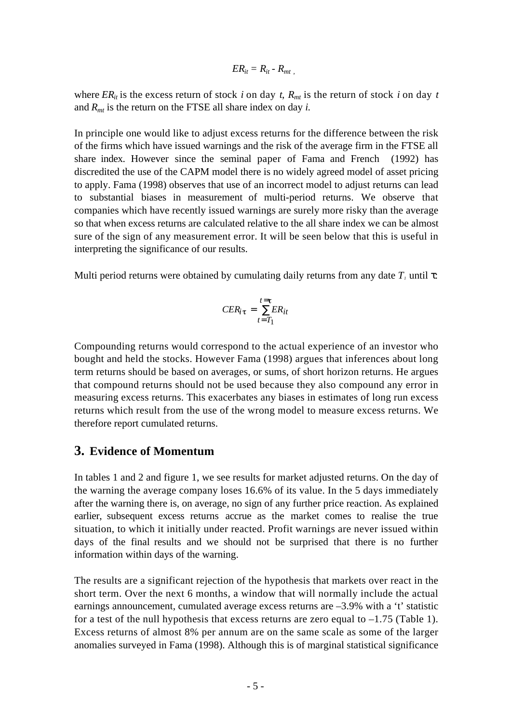$$
ER_{it}=R_{it}-R_{mt}
$$

where  $ER_{it}$  is the excess return of stock *i* on day *t*,  $R_{mt}$  is the return of stock *i* on day *t* and *Rmt* is the return on the FTSE all share index on day *i*.

In principle one would like to adjust excess returns for the difference between the risk of the firms which have issued warnings and the risk of the average firm in the FTSE all share index. However since the seminal paper of Fama and French (1992) has discredited the use of the CAPM model there is no widely agreed model of asset pricing to apply. Fama (1998) observes that use of an incorrect model to adjust returns can lead to substantial biases in measurement of multi-period returns. We observe that companies which have recently issued warnings are surely more risky than the average so that when excess returns are calculated relative to the all share index we can be almost sure of the sign of any measurement error. It will be seen below that this is useful in interpreting the significance of our results.

Multi period returns were obtained by cumulating daily returns from any date  $T<sub>i</sub>$  until :

$$
CER_{i\tau} = \frac{t=\tau}{t=T_1}ER_{it}
$$

Compounding returns would correspond to the actual experience of an investor who bought and held the stocks. However Fama (1998) argues that inferences about long term returns should be based on averages, or sums, of short horizon returns. He argues that compound returns should not be used because they also compound any error in measuring excess returns. This exacerbates any biases in estimates of long run excess returns which result from the use of the wrong model to measure excess returns. We therefore report cumulated returns.

## **3. Evidence of Momentum**

In tables 1 and 2 and figure 1, we see results for market adjusted returns. On the day of the warning the average company loses 16.6% of its value. In the 5 days immediately after the warning there is, on average, no sign of any further price reaction. As explained earlier, subsequent excess returns accrue as the market comes to realise the true situation, to which it initially under reacted. Profit warnings are never issued within days of the final results and we should not be surprised that there is no further information within days of the warning.

The results are a significant rejection of the hypothesis that markets over react in the short term. Over the next 6 months, a window that will normally include the actual earnings announcement, cumulated average excess returns are –3.9% with a 't' statistic for a test of the null hypothesis that excess returns are zero equal to  $-1.75$  (Table 1). Excess returns of almost 8% per annum are on the same scale as some of the larger anomalies surveyed in Fama (1998). Although this is of marginal statistical significance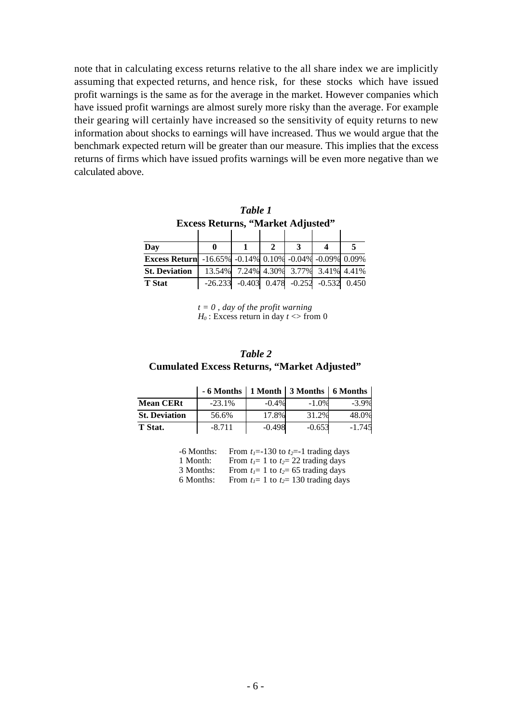note that in calculating excess returns relative to the all share index we are implicitly assuming that expected returns, and hence risk, for these stocks which have issued profit warnings is the same as for the average in the market. However companies which have issued profit warnings are almost surely more risky than the average. For example their gearing will certainly have increased so the sensitivity of equity returns to new information about shocks to earnings will have increased. Thus we would argue that the benchmark expected return will be greater than our measure. This implies that the excess returns of firms which have issued profits warnings will be even more negative than we calculated above.

| Table 1<br><b>Excess Returns, "Market Adjusted"</b>    |   |  |  |   |                                              |       |  |
|--------------------------------------------------------|---|--|--|---|----------------------------------------------|-------|--|
|                                                        |   |  |  |   |                                              |       |  |
| Day                                                    | 0 |  |  | 3 |                                              |       |  |
| Excess Return -16.65% -0.14% 0.10% -0.04% -0.09% 0.09% |   |  |  |   |                                              |       |  |
| <b>St. Deviation</b>                                   |   |  |  |   | 13.54% 7.24% 4.30% 3.77% 3.41% 4.41%         |       |  |
| <b>T</b> Stat                                          |   |  |  |   | $-26.233$ $-0.403$ $0.478$ $-0.252$ $-0.532$ | 0.450 |  |

*t = 0 , day of the profit warning*  $H_0$ : Excess return in day  $t \ll 6$  from 0

#### *Table 2* **Cumulated Excess Returns, "Market Adjusted"**

|                      | $-6$ Months   1 Month   3 Months   6 Months |          |          |          |
|----------------------|---------------------------------------------|----------|----------|----------|
| <b>Mean CERt</b>     | $-23.1%$                                    | $-0.4\%$ | $-1.0%$  | $-3.9%$  |
| <b>St. Deviation</b> | 56.6%                                       | 17.8%    | 31.2%    | 48.0%    |
| T Stat.              | $-8.711$                                    | $-0.498$ | $-0.653$ | $-1.745$ |

| $-6$ Months: | From $t_1$ =-130 to $t_2$ =-1 trading days |
|--------------|--------------------------------------------|
| 1 Month:     | From $t_1 = 1$ to $t_2 = 22$ trading days  |
| 3 Months:    | From $t_1 = 1$ to $t_2 = 65$ trading days  |
| 6 Months:    | From $t_1$ = 1 to $t_2$ = 130 trading days |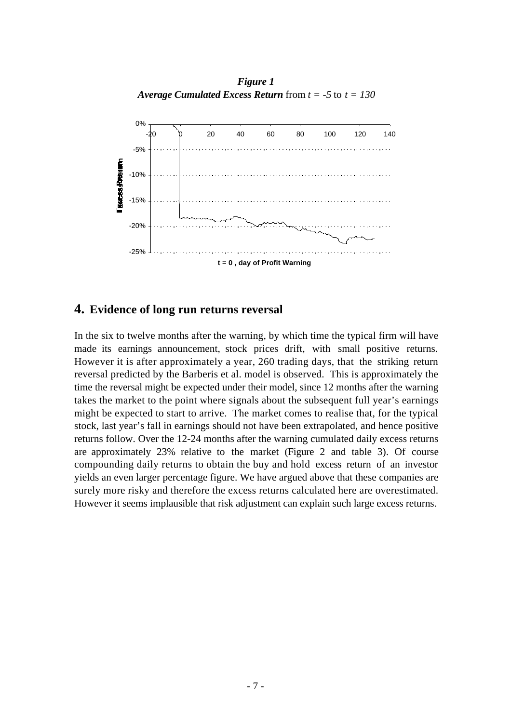*Figure 1 Average Cumulated Excess Return* from *t = -5* to *t = 130*



#### **4. Evidence of long run returns reversal**

In the six to twelve months after the warning, by which time the typical firm will have made its earnings announcement, stock prices drift, with small positive returns. However it is after approximately a year, 260 trading days, that the striking return reversal predicted by the Barberis et al. model is observed. This is approximately the time the reversal might be expected under their model, since 12 months after the warning takes the market to the point where signals about the subsequent full year's earnings might be expected to start to arrive. The market comes to realise that, for the typical stock, last year's fall in earnings should not have been extrapolated, and hence positive returns follow. Over the 12-24 months after the warning cumulated daily excess returns are approximately 23% relative to the market (Figure 2 and table 3). Of course compounding daily returns to obtain the buy and hold excess return of an investor yields an even larger percentage figure. We have argued above that these companies are surely more risky and therefore the excess returns calculated here are overestimated. However it seems implausible that risk adjustment can explain such large excess returns.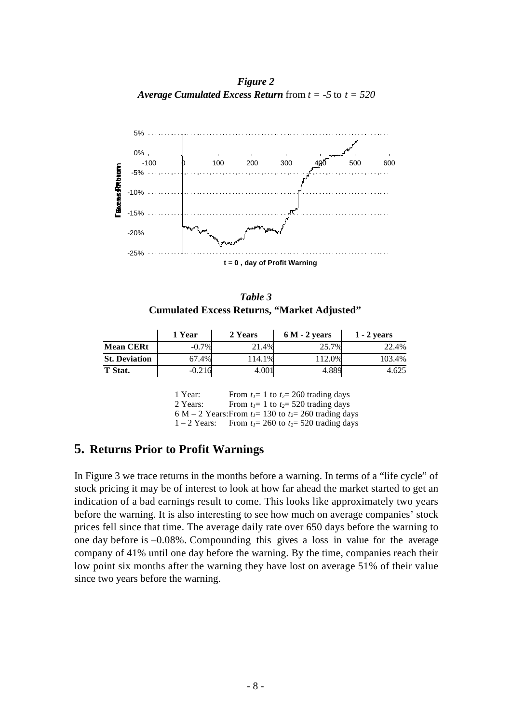*Figure 2 Average Cumulated Excess Return* from *t = -5* to *t = 520*



*Table 3* **Cumulated Excess Returns, "Market Adjusted"**

|                      | 1 Year   | 2 Years | $6M - 2$ years | $1 - 2$ vears |
|----------------------|----------|---------|----------------|---------------|
| <b>Mean CERt</b>     | $-0.7\%$ | 21.4%   | 25.7%          | 22.4%         |
| <b>St. Deviation</b> | 67.4%    | 114.1%  | 112.0%         | 103.4%        |
| T Stat.              | $-0.216$ | 4.001   | 4.889          | 4.625         |

1 Year: From  $t_1 = 1$  to  $t_2 = 260$  trading days 2 Years: From  $t_1 = 1$  to  $t_2 = 520$  trading days 6 M – 2 Years: From  $t_1$ = 130 to  $t_2$ = 260 trading days 1 – 2 Years: From  $t_1 = 260$  to  $t_2 = 520$  trading days

## **5. Returns Prior to Profit Warnings**

In Figure 3 we trace returns in the months before a warning. In terms of a "life cycle" of stock pricing it may be of interest to look at how far ahead the market started to get an indication of a bad earnings result to come. This looks like approximately two years before the warning. It is also interesting to see how much on average companies' stock prices fell since that time. The average daily rate over 650 days before the warning to one day before is –0.08%. Compounding this gives a loss in value for the average company of 41% until one day before the warning. By the time, companies reach their low point six months after the warning they have lost on average 51% of their value since two years before the warning.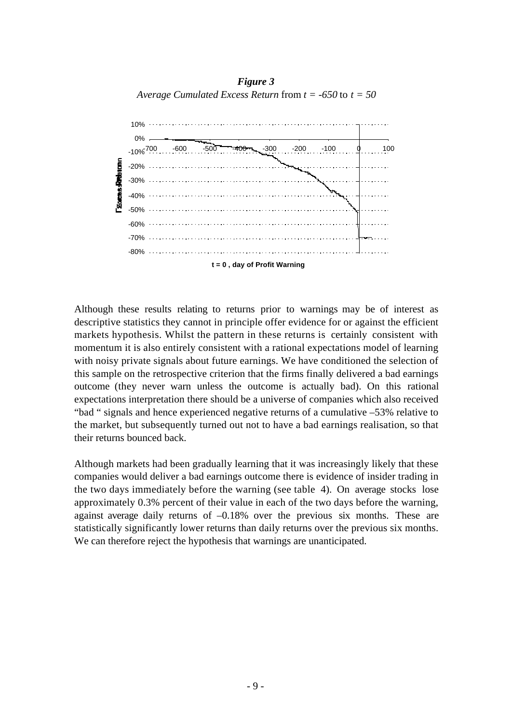*Figure 3 Average Cumulated Excess Return* from *t = -650* to *t = 50*



Although these results relating to returns prior to warnings may be of interest as descriptive statistics they cannot in principle offer evidence for or against the efficient markets hypothesis. Whilst the pattern in these returns is certainly consistent with momentum it is also entirely consistent with a rational expectations model of learning with noisy private signals about future earnings. We have conditioned the selection of this sample on the retrospective criterion that the firms finally delivered a bad earnings outcome (they never warn unless the outcome is actually bad). On this rational expectations interpretation there should be a universe of companies which also received "bad " signals and hence experienced negative returns of a cumulative –53% relative to the market, but subsequently turned out not to have a bad earnings realisation, so that their returns bounced back.

Although markets had been gradually learning that it was increasingly likely that these companies would deliver a bad earnings outcome there is evidence of insider trading in the two days immediately before the warning (see table 4). On average stocks lose approximately 0.3% percent of their value in each of the two days before the warning, against average daily returns of –0.18% over the previous six months. These are statistically significantly lower returns than daily returns over the previous six months. We can therefore reject the hypothesis that warnings are unanticipated.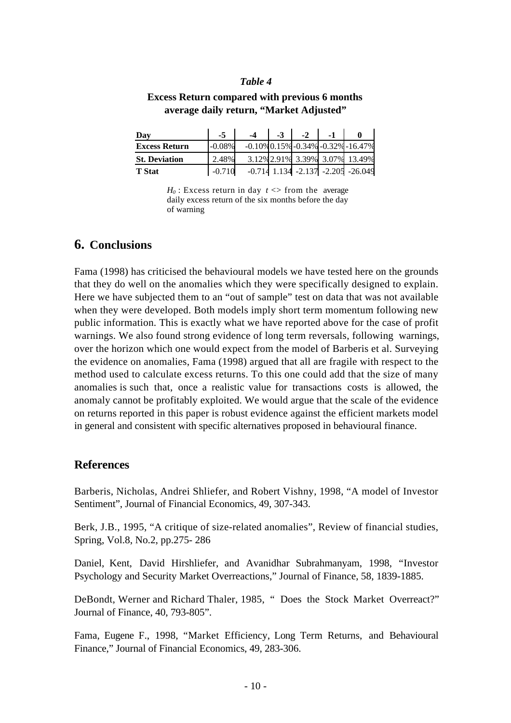#### *Table 4*

#### **Excess Return compared with previous 6 months average daily return, "Market Adjusted"**

| Day                  | $-5$      | -4 | $-3$ | $-2$ | $-1$ |                                                |
|----------------------|-----------|----|------|------|------|------------------------------------------------|
| <b>Excess Return</b> | $-0.08\%$ |    |      |      |      | $-0.10\%$ 0.15% $-0.34\%$ $-0.32\%$ $-16.47\%$ |
| <b>St. Deviation</b> | 2.48%     |    |      |      |      | 3.12% 2.91% 3.39% 3.07% 13.49%                 |
| <b>T</b> Stat        | $-0.710$  |    |      |      |      | $-0.714$ 1.134 $-2.137$ $-2.205$ $-26.049$     |

 $H_0$ : Excess return in day  $t \leq 1$  from the average daily excess return of the six months before the day of warning

#### **6. Conclusions**

Fama (1998) has criticised the behavioural models we have tested here on the grounds that they do well on the anomalies which they were specifically designed to explain. Here we have subjected them to an "out of sample" test on data that was not available when they were developed. Both models imply short term momentum following new public information. This is exactly what we have reported above for the case of profit warnings. We also found strong evidence of long term reversals, following warnings, over the horizon which one would expect from the model of Barberis et al. Surveying the evidence on anomalies, Fama (1998) argued that all are fragile with respect to the method used to calculate excess returns. To this one could add that the size of many anomalies is such that, once a realistic value for transactions costs is allowed, the anomaly cannot be profitably exploited. We would argue that the scale of the evidence on returns reported in this paper is robust evidence against the efficient markets model in general and consistent with specific alternatives proposed in behavioural finance.

#### **References**

Barberis, Nicholas, Andrei Shliefer, and Robert Vishny, 1998, "A model of Investor Sentiment", Journal of Financial Economics, 49, 307-343.

Berk, J.B., 1995, "A critique of size-related anomalies", Review of financial studies, Spring, Vol.8, No.2, pp.275- 286

Daniel, Kent, David Hirshliefer, and Avanidhar Subrahmanyam, 1998, "Investor Psychology and Security Market Overreactions," Journal of Finance, 58, 1839-1885.

DeBondt, Werner and Richard Thaler, 1985, " Does the Stock Market Overreact?" Journal of Finance, 40, 793-805".

Fama, Eugene F., 1998, "Market Efficiency, Long Term Returns, and Behavioural Finance," Journal of Financial Economics, 49, 283-306.